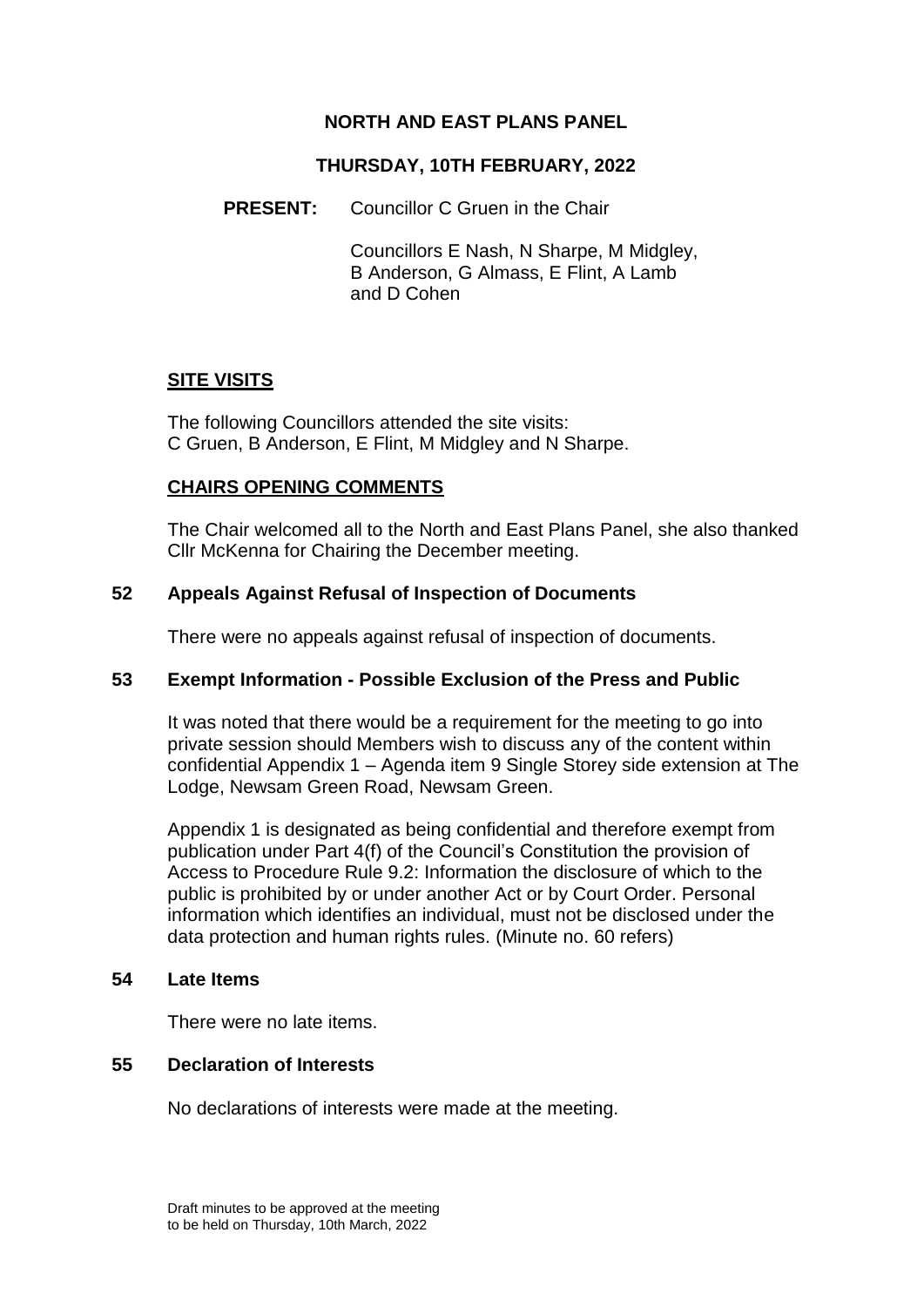# **NORTH AND EAST PLANS PANEL**

### **THURSDAY, 10TH FEBRUARY, 2022**

**PRESENT:** Councillor C Gruen in the Chair

Councillors E Nash, N Sharpe, M Midgley, B Anderson, G Almass, E Flint, A Lamb and D Cohen

# **SITE VISITS**

The following Councillors attended the site visits: C Gruen, B Anderson, E Flint, M Midgley and N Sharpe.

### **CHAIRS OPENING COMMENTS**

The Chair welcomed all to the North and East Plans Panel, she also thanked Cllr McKenna for Chairing the December meeting.

### **52 Appeals Against Refusal of Inspection of Documents**

There were no appeals against refusal of inspection of documents.

#### **53 Exempt Information - Possible Exclusion of the Press and Public**

It was noted that there would be a requirement for the meeting to go into private session should Members wish to discuss any of the content within confidential Appendix 1 – Agenda item 9 Single Storey side extension at The Lodge, Newsam Green Road, Newsam Green.

Appendix 1 is designated as being confidential and therefore exempt from publication under Part 4(f) of the Council's Constitution the provision of Access to Procedure Rule 9.2: Information the disclosure of which to the public is prohibited by or under another Act or by Court Order. Personal information which identifies an individual, must not be disclosed under the data protection and human rights rules. (Minute no. 60 refers)

## **54 Late Items**

There were no late items.

# **55 Declaration of Interests**

No declarations of interests were made at the meeting.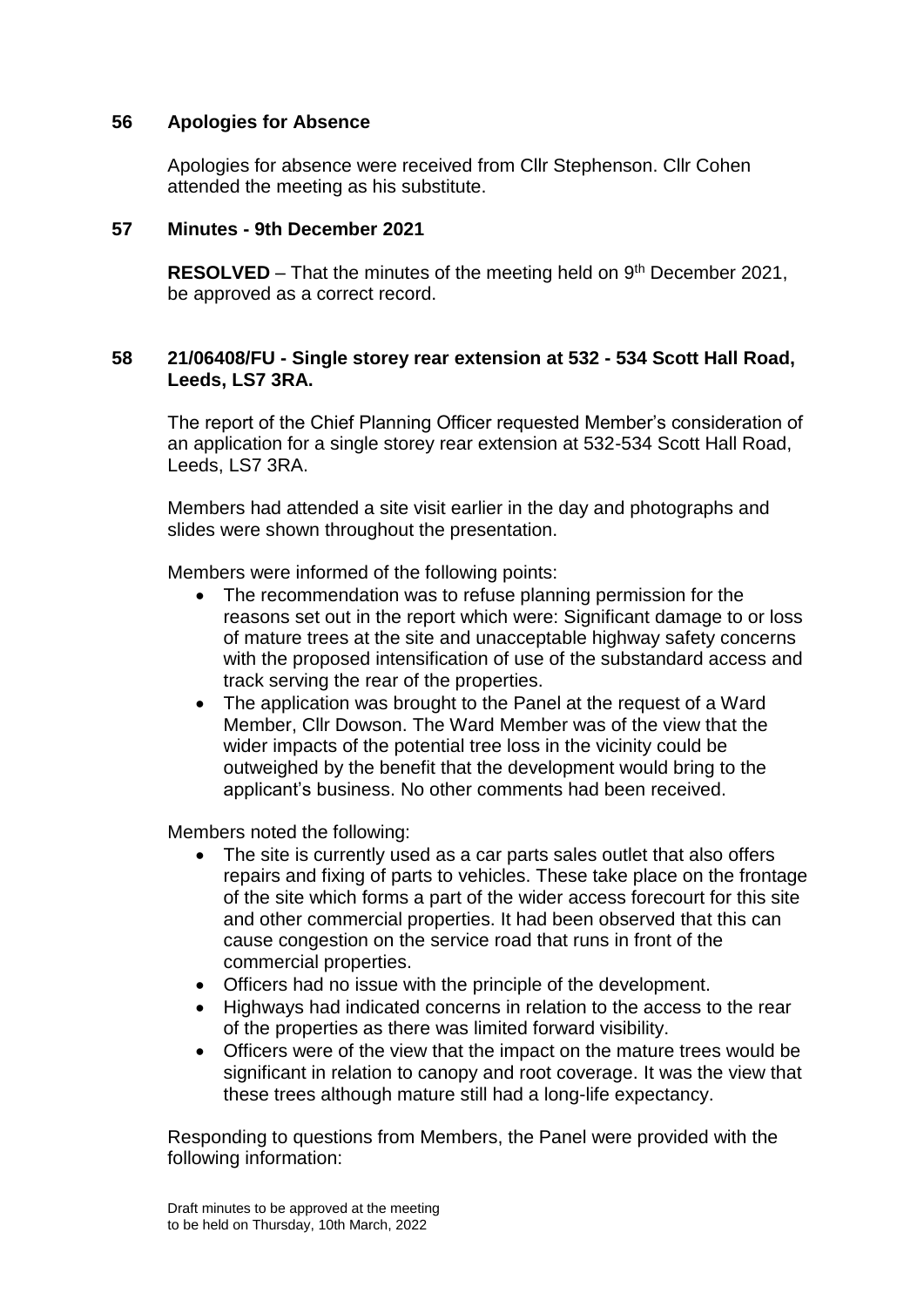# **56 Apologies for Absence**

Apologies for absence were received from Cllr Stephenson. Cllr Cohen attended the meeting as his substitute.

### **57 Minutes - 9th December 2021**

**RESOLVED** – That the minutes of the meeting held on 9<sup>th</sup> December 2021, be approved as a correct record.

### **58 21/06408/FU - Single storey rear extension at 532 - 534 Scott Hall Road, Leeds, LS7 3RA.**

The report of the Chief Planning Officer requested Member's consideration of an application for a single storey rear extension at 532-534 Scott Hall Road, Leeds, LS7 3RA.

Members had attended a site visit earlier in the day and photographs and slides were shown throughout the presentation.

Members were informed of the following points:

- The recommendation was to refuse planning permission for the reasons set out in the report which were: Significant damage to or loss of mature trees at the site and unacceptable highway safety concerns with the proposed intensification of use of the substandard access and track serving the rear of the properties.
- The application was brought to the Panel at the request of a Ward Member, Cllr Dowson. The Ward Member was of the view that the wider impacts of the potential tree loss in the vicinity could be outweighed by the benefit that the development would bring to the applicant's business. No other comments had been received.

Members noted the following:

- The site is currently used as a car parts sales outlet that also offers repairs and fixing of parts to vehicles. These take place on the frontage of the site which forms a part of the wider access forecourt for this site and other commercial properties. It had been observed that this can cause congestion on the service road that runs in front of the commercial properties.
- Officers had no issue with the principle of the development.
- Highways had indicated concerns in relation to the access to the rear of the properties as there was limited forward visibility.
- Officers were of the view that the impact on the mature trees would be significant in relation to canopy and root coverage. It was the view that these trees although mature still had a long-life expectancy.

Responding to questions from Members, the Panel were provided with the following information: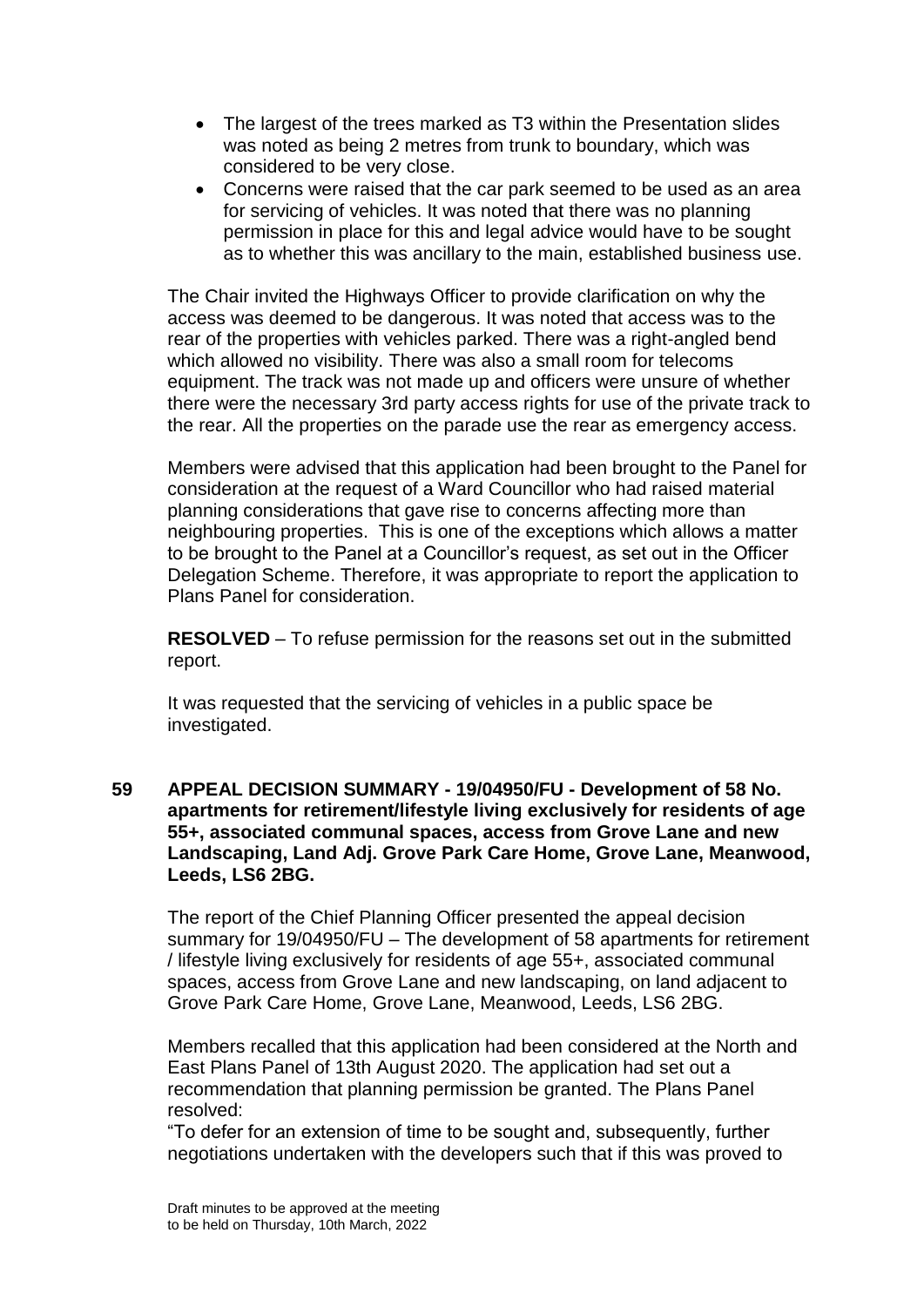- The largest of the trees marked as T3 within the Presentation slides was noted as being 2 metres from trunk to boundary, which was considered to be very close.
- Concerns were raised that the car park seemed to be used as an area for servicing of vehicles. It was noted that there was no planning permission in place for this and legal advice would have to be sought as to whether this was ancillary to the main, established business use.

The Chair invited the Highways Officer to provide clarification on why the access was deemed to be dangerous. It was noted that access was to the rear of the properties with vehicles parked. There was a right-angled bend which allowed no visibility. There was also a small room for telecoms equipment. The track was not made up and officers were unsure of whether there were the necessary 3rd party access rights for use of the private track to the rear. All the properties on the parade use the rear as emergency access.

Members were advised that this application had been brought to the Panel for consideration at the request of a Ward Councillor who had raised material planning considerations that gave rise to concerns affecting more than neighbouring properties. This is one of the exceptions which allows a matter to be brought to the Panel at a Councillor's request, as set out in the Officer Delegation Scheme. Therefore, it was appropriate to report the application to Plans Panel for consideration.

**RESOLVED** – To refuse permission for the reasons set out in the submitted report.

It was requested that the servicing of vehicles in a public space be investigated.

### **59 APPEAL DECISION SUMMARY - 19/04950/FU - Development of 58 No. apartments for retirement/lifestyle living exclusively for residents of age 55+, associated communal spaces, access from Grove Lane and new Landscaping, Land Adj. Grove Park Care Home, Grove Lane, Meanwood, Leeds, LS6 2BG.**

The report of the Chief Planning Officer presented the appeal decision summary for 19/04950/FU – The development of 58 apartments for retirement / lifestyle living exclusively for residents of age 55+, associated communal spaces, access from Grove Lane and new landscaping, on land adjacent to Grove Park Care Home, Grove Lane, Meanwood, Leeds, LS6 2BG.

Members recalled that this application had been considered at the North and East Plans Panel of 13th August 2020. The application had set out a recommendation that planning permission be granted. The Plans Panel resolved:

"To defer for an extension of time to be sought and, subsequently, further negotiations undertaken with the developers such that if this was proved to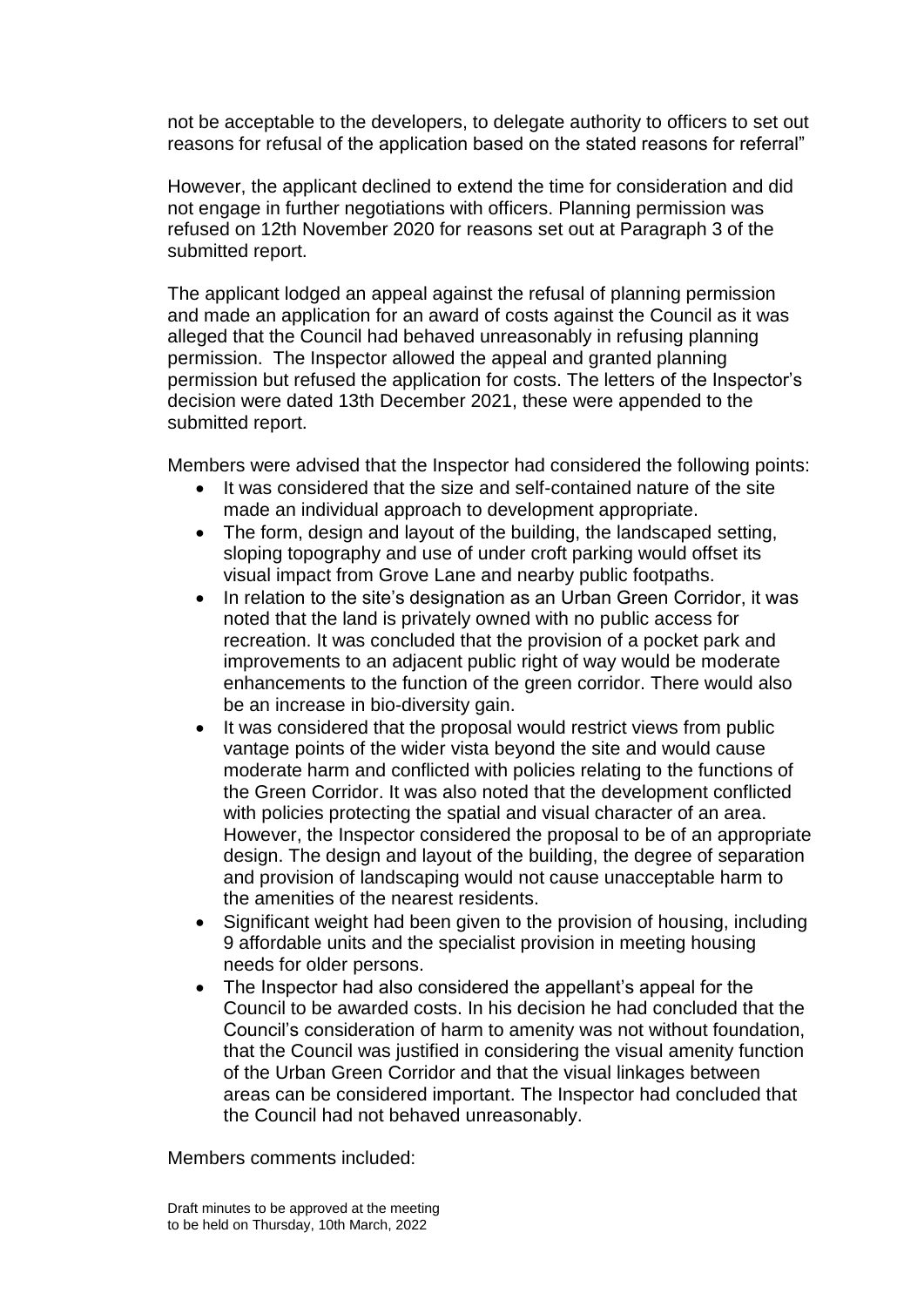not be acceptable to the developers, to delegate authority to officers to set out reasons for refusal of the application based on the stated reasons for referral"

However, the applicant declined to extend the time for consideration and did not engage in further negotiations with officers. Planning permission was refused on 12th November 2020 for reasons set out at Paragraph 3 of the submitted report.

The applicant lodged an appeal against the refusal of planning permission and made an application for an award of costs against the Council as it was alleged that the Council had behaved unreasonably in refusing planning permission. The Inspector allowed the appeal and granted planning permission but refused the application for costs. The letters of the Inspector's decision were dated 13th December 2021, these were appended to the submitted report.

Members were advised that the Inspector had considered the following points:

- It was considered that the size and self-contained nature of the site made an individual approach to development appropriate.
- The form, design and layout of the building, the landscaped setting, sloping topography and use of under croft parking would offset its visual impact from Grove Lane and nearby public footpaths.
- In relation to the site's designation as an Urban Green Corridor, it was noted that the land is privately owned with no public access for recreation. It was concluded that the provision of a pocket park and improvements to an adjacent public right of way would be moderate enhancements to the function of the green corridor. There would also be an increase in bio-diversity gain.
- It was considered that the proposal would restrict views from public vantage points of the wider vista beyond the site and would cause moderate harm and conflicted with policies relating to the functions of the Green Corridor. It was also noted that the development conflicted with policies protecting the spatial and visual character of an area. However, the Inspector considered the proposal to be of an appropriate design. The design and layout of the building, the degree of separation and provision of landscaping would not cause unacceptable harm to the amenities of the nearest residents.
- Significant weight had been given to the provision of housing, including 9 affordable units and the specialist provision in meeting housing needs for older persons.
- The Inspector had also considered the appellant's appeal for the Council to be awarded costs. In his decision he had concluded that the Council's consideration of harm to amenity was not without foundation, that the Council was justified in considering the visual amenity function of the Urban Green Corridor and that the visual linkages between areas can be considered important. The Inspector had concluded that the Council had not behaved unreasonably.

Members comments included: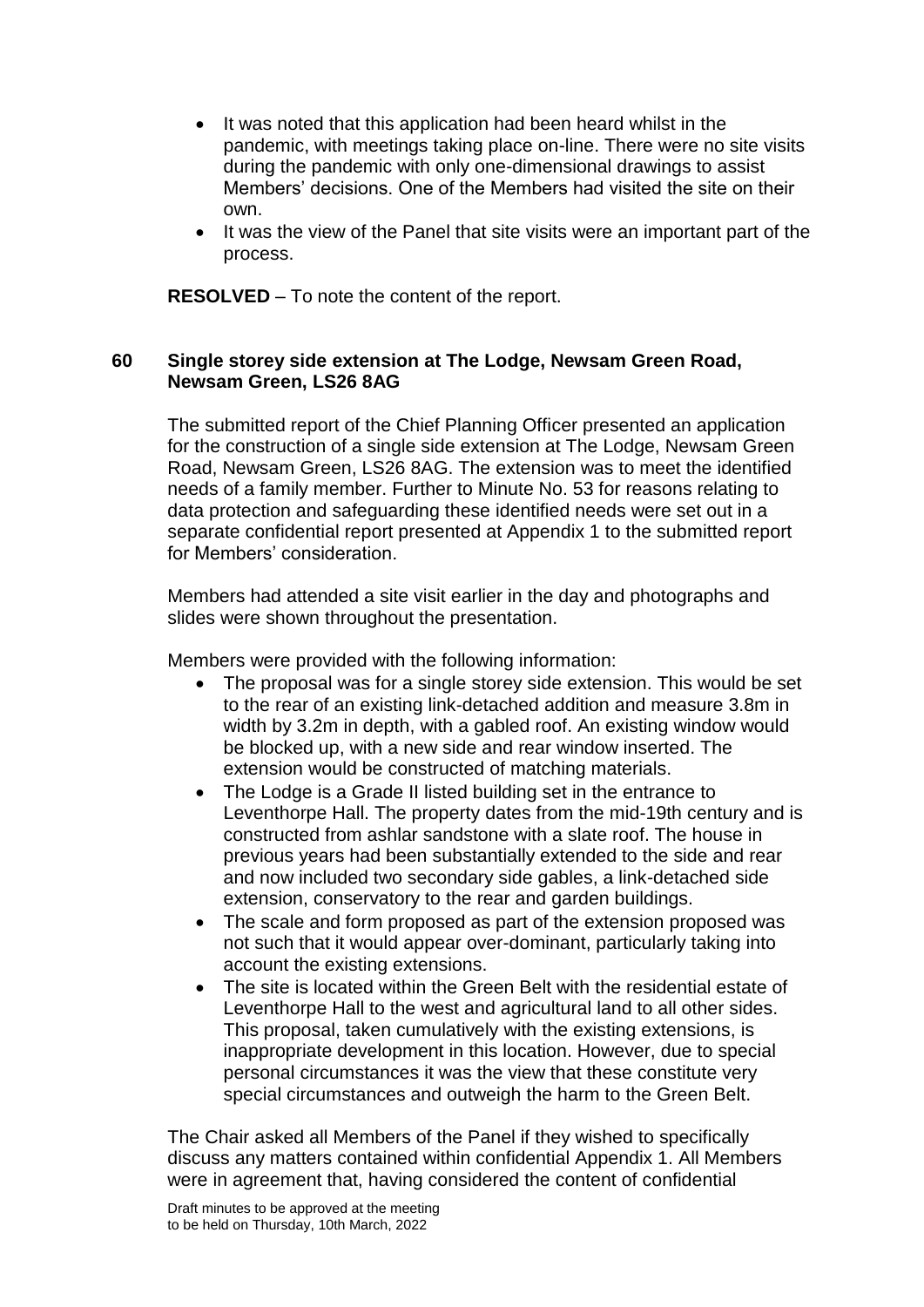- It was noted that this application had been heard whilst in the pandemic, with meetings taking place on-line. There were no site visits during the pandemic with only one-dimensional drawings to assist Members' decisions. One of the Members had visited the site on their own.
- It was the view of the Panel that site visits were an important part of the process.

**RESOLVED** – To note the content of the report.

### **60 Single storey side extension at The Lodge, Newsam Green Road, Newsam Green, LS26 8AG**

The submitted report of the Chief Planning Officer presented an application for the construction of a single side extension at The Lodge, Newsam Green Road, Newsam Green, LS26 8AG. The extension was to meet the identified needs of a family member. Further to Minute No. 53 for reasons relating to data protection and safeguarding these identified needs were set out in a separate confidential report presented at Appendix 1 to the submitted report for Members' consideration.

Members had attended a site visit earlier in the day and photographs and slides were shown throughout the presentation.

Members were provided with the following information:

- The proposal was for a single storey side extension. This would be set to the rear of an existing link-detached addition and measure 3.8m in width by 3.2m in depth, with a gabled roof. An existing window would be blocked up, with a new side and rear window inserted. The extension would be constructed of matching materials.
- The Lodge is a Grade II listed building set in the entrance to Leventhorpe Hall. The property dates from the mid-19th century and is constructed from ashlar sandstone with a slate roof. The house in previous years had been substantially extended to the side and rear and now included two secondary side gables, a link-detached side extension, conservatory to the rear and garden buildings.
- The scale and form proposed as part of the extension proposed was not such that it would appear over-dominant, particularly taking into account the existing extensions.
- The site is located within the Green Belt with the residential estate of Leventhorpe Hall to the west and agricultural land to all other sides. This proposal, taken cumulatively with the existing extensions, is inappropriate development in this location. However, due to special personal circumstances it was the view that these constitute very special circumstances and outweigh the harm to the Green Belt.

The Chair asked all Members of the Panel if they wished to specifically discuss any matters contained within confidential Appendix 1. All Members were in agreement that, having considered the content of confidential